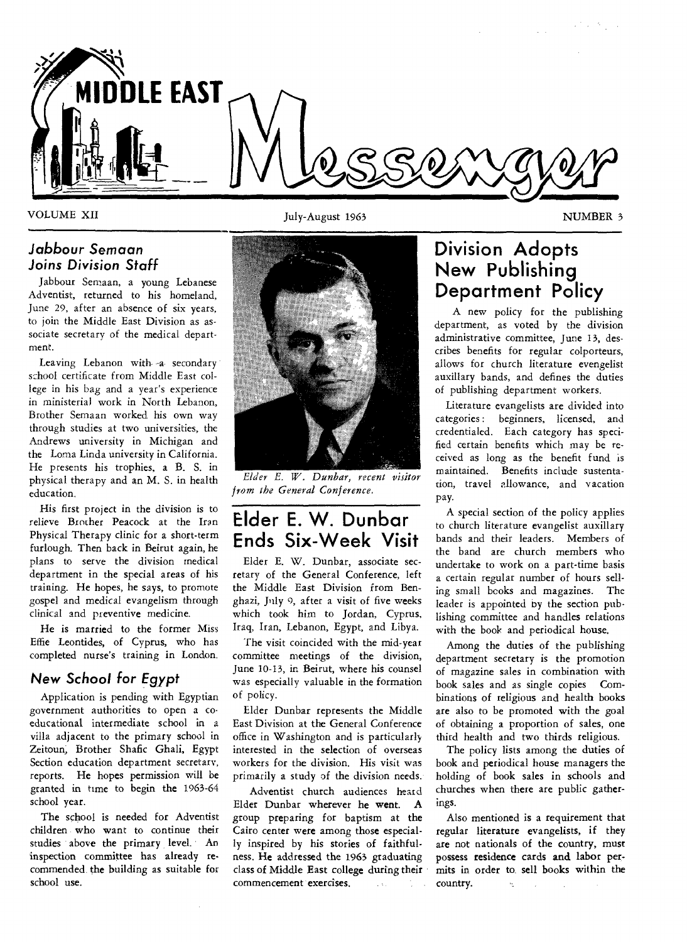

### *Jabbour Semaan Joins Division* **Staff**

Jabbour Semaan, a young Lebanese Adventist, returned to his homeland, June 29, after an absence of six years, to join the Middle East Division as associate secretary of the medical department.

Leaving Lebanon with -a secondary school certificate from Middle East college in his bag and a year's experience in ministerial work in North Lebanon, Brother Semaan worked his own way through studies at two universities, the Andrews university in Michigan and the Loma Linda university in California. He presents his trophies, a B. S. in physical therapy and an M. S. in health education.

His first project in the division is to relieve Brother Peacock at the Iran Physical Therapy clinic for a short-term furlough. Then back in Beirut again, he plans to serve the division medical department in the special areas of his training. He hopes, he says, to promote gospel and medical evangelism through clinical and preventive medicine.

He is married to the former Miss Effie Leontides, of Cyprus, who has completed nurse's training in London.

### *New* **School for** *Egypt*

Application is pending with Egyptian government authorities to open a coeducational intermediate school in a villa adjacent to the primary school in Zeitoun, Brother Shafic Ghali, Egypt Section education department secretary, reports. He hopes permission will be granted in time to begin the 1963-64 school year.

The school is needed for Adventist children who want to continue their studies above the primary level. An inspection committee has already recommended the building as suitable for school use.

VOLUME XII **VOLUME XII** July-August 1963 **NUMBER** 3



*Elder E. IV. Dunbar, recent visitor from the General Conference.* 

# **Elder E. W. Dunbar Ends Six-Week Visit**

Elder E. W. Dunbar, associate secretary of the General Conference, left the Middle East Division from Benghazi, July 9, after a visit of five weeks which took him to Jordan, Cyprus, Iraq, Iran, Lebanon, Egypt, and Libya.

The visit coincided with the mid-year committee meetings of the division, June 10-13, in Beirut, where his counsel was especially valuable in the formation of policy.

Elder Dunbar represents the Middle East Division at the General Conference office in Washington and is particularly interested in the selection of overseas workers for the division. His visit was primarily a study of the division needs.

Adventist church audiences heard Elder Dunbar wherever he went. A group preparing for baptism at the Cairo center were among those especially inspired by his stories of faithfulness. He addressed the 1963 graduating class of Middle East college during their commencement exercises.  $\mathbb{R}^{n+1}$  $\Delta \sim 10$ 

# **Division Adopts New Publishing Department Policy**

A new policy for the publishing department, as voted by the division administrative committee, June 13, describes benefits for regular colporteurs, allows for church literature evengelist auxiliary bands, and defines the duties of publishing department workers.

Literature evangelists are divided into categories: beginners, licensed, and credentialed. Each category has specified certain benefits which may be received as long as the benefit fund is maintained. Benefits include sustentation, travel allowance, and vacation pay.

A special section of the policy applies to church literature evangelist auxiliary bands and their leaders. Members of the band are church members who undertake to work on a part-time basis a certain regular number of hours selling small books and magazines. The leader is appointed by the section publishing committee and handles relations with the book and periodical house.

Among the duties of the publishing department secretary is the promotion of magazine sales in combination with book sales and as single copies Combinations of religious and health books are also to be promoted with the goal of obtaining a proportion of sales, one third health and two thirds religious.

The policy lists among the duties of book and periodical house managers the holding of book sales in schools and churches when there are public gatherings.

Also mentioned is a requirement that regular literature evangelists, if they are not nationals of the country, must possess residence cards and labor permits in order to, sell books within the country.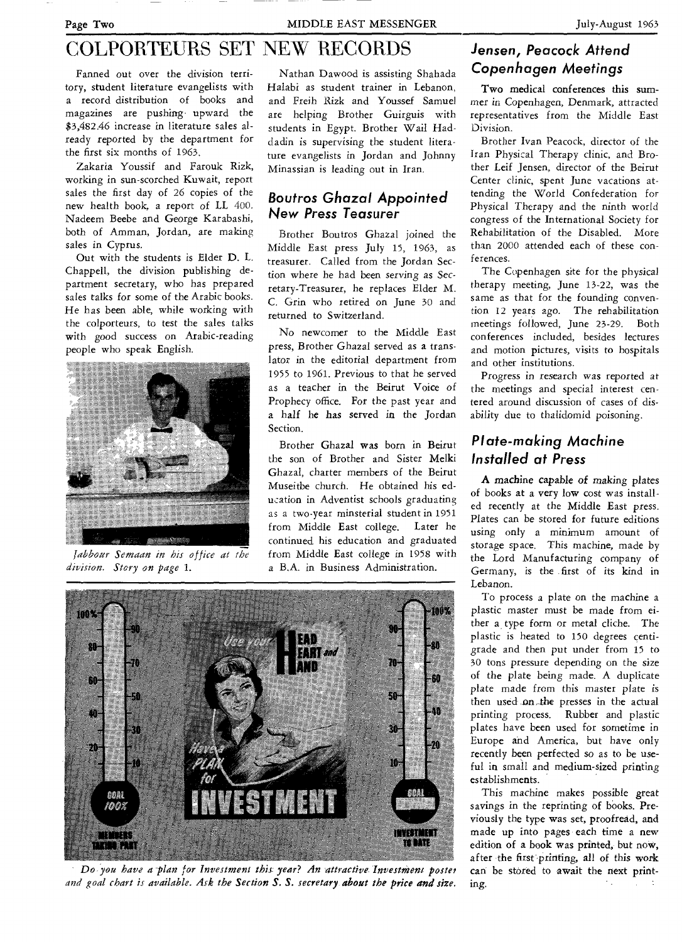# COLPORTEURS SET NEW RECORDS

Fanned out over the division territory, student literature evangelists with a record distribution of books and magazines are pushing upward the \$3,482.46 increase in literature sales already reported by the department for the first six months of 1963.

Zakaria Youssif and Farouk Rizk, working in sun-scorched Kuwait, report sales the first day of 26 copies of the new health book, a report of LL 400. Nadeem Beebe and George Karabashi, both of Amman, Jordan, are making sales in Cyprus.

Out with the students is Elder D. L. Chappell, the division publishing department secretary, who has prepared sales talks for some of the Arabic books. He has been able, while working with the colporteurs, to test the sales talks with good success on Arabic-reading people who speak English.



*Jabbour Semaan in his office at the division. Story on page 1.* 

Nathan Dawood is assisting Shahada Halabi as student trainer in Lebanon, and Freih Rizk and Youssef Samuel are helping Brother Guirguis with students in Egypt. Brother Wail Haddadin is supervising the student literature evangelists in Jordan and Johnny Minassian is leading out in Iran.

### **Boutros Ghazal Appointed New Press Teasurer**

Brother Boutros Ghazal joined the Middle East press July 15, 1963, as treasurer. Called from the Jordan Section where he had been *serving* as Secretary-Treasurer, he replaces Elder M. C. Grin who retired on June 30 and returned to Switzerland.

No newcomer to the Middle East press, Brother Ghazal served as a translator in the editorial department from 1955 to 1961. Previous to that he served as a teacher in the Beirut Voice of Prophecy office. For the past year and a half he has served in the Jordan Section.

Brother Ghazal was born in Beirut the son of Brother and Sister Melki Ghazal, charter members of the Beirut Museitbe church. He obtained his education in Adventist schools graduating as a two-year minsterial student in 1951 from Middle East college. Later he continued his education and graduated from Middle East college in 1958 with a B.A. in Business Administration.



*Do, you have a'plan for Investment this year? An attractive. Investment poster and goal chart is available. Ask the Section S. S. secretary about the price and size.* 

# **Jensen, Peacock Attend Copenhagen Meetings**

Two medical conferences this summer in Copenhagen, Denmark, attracted representatives from the Middle East Division.

Brother Ivan Peacock, director of the Iran Physical Therapy clinic, and Brother Leif Jensen, director of the Beirut Center clinic, spent June vacations attending the World Confederation for Physical Therapy and the ninth world congress of the International Society for Rehabilitation of the Disabled. More than 2000 attended each of these conferences.

The Copenhagen site for the physical therapy meeting, June 13-22, was the same as that for the founding convention 12 years ago. The rehabilitation meetings followed, June 23-29. Both conferences included, besides lectures and motion pictures, visits to hospitals and other institutions.

Progress in research was reported at the meetings and special interest centered around discussion of cases of disability due to thalidomid poisoning.

# **Plate-making Machine Installed at Press**

A machine capable of *making* plates of books at a very low cost was installed recently at the Middle East press. Plates can be stored for future editions using only a minimum amount of storage space. This machine, made by the Lord Manufacturing company of Germany, is the first of its kind in Lebanon.

To process a plate on the machine a plastic master must be made from either a type form or metal cliche. The plastic is heated to 150 degrees centigrade and then put under from 15 to 30 tons pressure depending on the size of the plate being made. A duplicate plate *made* from this master plate is then used on,.the presses in the actual printing process. Rubber and plastic plates have been used for sometime in Europe and America, but have only recently been perfected so as to be useful in small and medium-sized printing establishments.

This machine makes possible great savings in the reprinting of books. Previously the type was set, proofread, and made up into pages each time a new edition of a book was printed, but now, after the first printing, all of this work can be stored to await the next printing.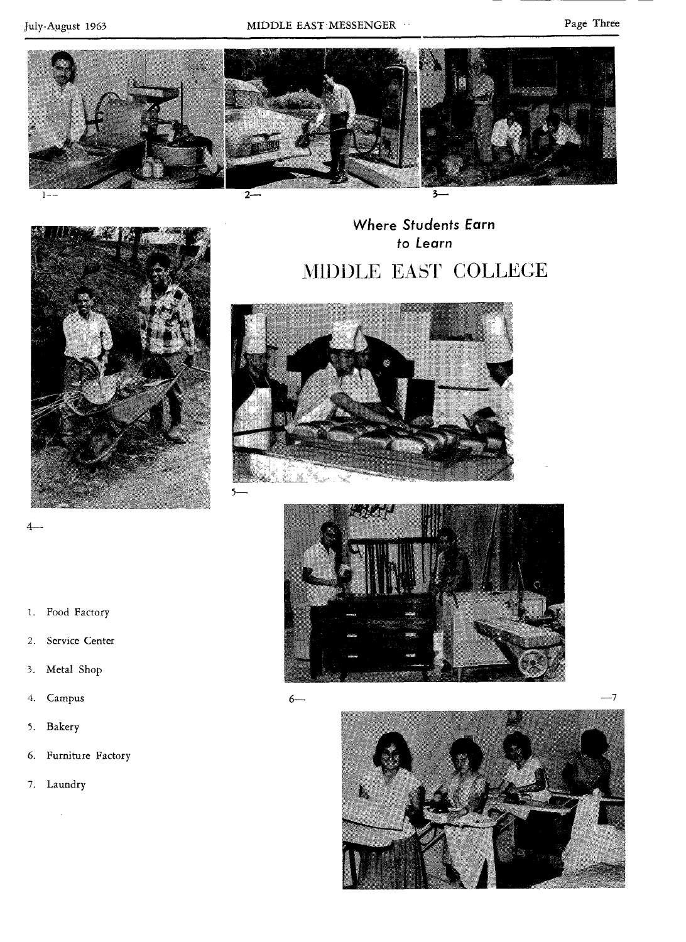

Where Students Earn to Learn MIDDLE EAST COLLEGE







4-

- 2. Service Center
- 3. Metal Shop
- 4. Campus
- 5. Bakery
- 6. Furniture Factory
- 7. Laundry

 $\ddot{\phantom{0}}$ 

6—

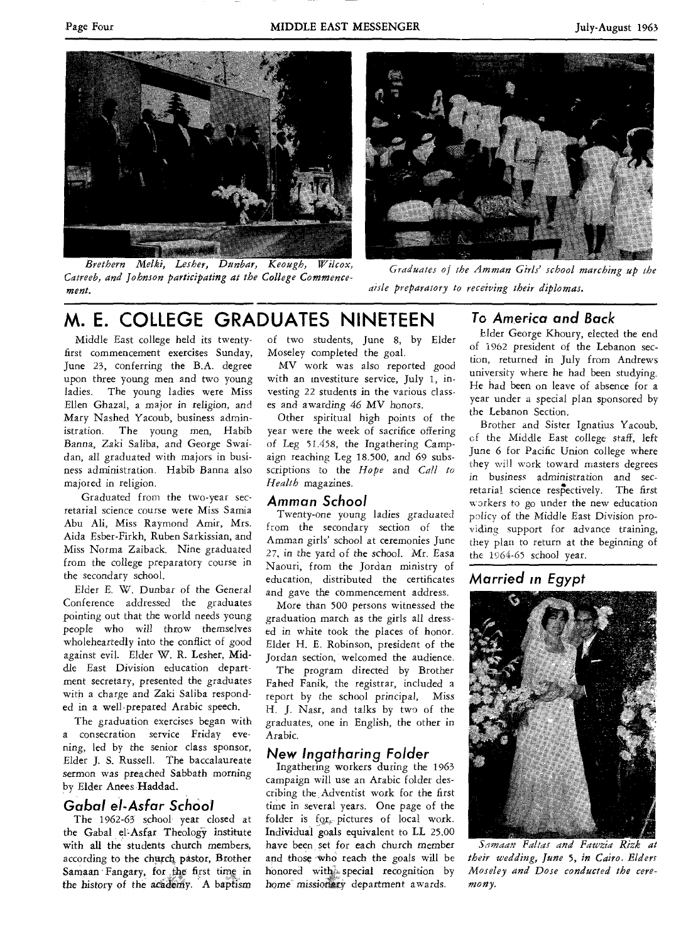

*Brethern Melki, Lesiser, Dunbar, Keough, Wilcox, Catreeb, and Johnson participating at the College Commencement.* 



*Graduates of the Amman Girls' school marching up the aisle preparatory to receiving their diplomas.* 

# **M. E. COLLEGE GRADUATES NINETEEN**

Middle East college held its twentyfirst commencement exercises Sunday, June 23, conferring the B.A. degree upon three young men and two young ladies. The young ladies were Miss Ellen Ghazal, a major in religion, and Mary Nashed Yacoub, business administration. The young men, Habib Banna, *Zaki* Saliba, and George Swaidan, all graduated with majors in business administration. Habib Banna also majored in religion.

Graduated from the two-year secretarial science course were Miss Samia Abu Ali, Miss Raymond Amir, Mrs. Aida Esber-Firkh, Ruben Sarkissian, and Miss Norma Zaiback. Nine graduated from the college preparatory course in the secondary school.

Elder E. W. Dunbar of the *General*  Conference addressed the graduates pointing out that the world needs young people who will throw themselves wholeheartedly into the conflict of good against evil. Elder W. R. Lesher, Middle East Division education department secretary, presented the graduates with a charge and Zaki Saliba responded in a well-prepared Arabic speech.

The graduation exercises began with a consecration service Friday evening, led by the senior class sponsor, Elder J. S. Russell. The baccalaureate sermon was preached Sabbath morning by Elder Anees Haddad.

### **Gabal el-Asfar School**

The 1962-63 school year closed at the Gabal el-Asfar Theology institute with all the students church members, according to the church pastor, Brother Samaan Fangary, for the first time in the history of the academy. A baptism

of two students, June 8, by Elder Moseley completed the goal.

MV work was also reported good with an investiture service, July 1, investing 22 students in the various classes and *awarding* 46 MV honors.

Other spiritual high points of the year were the week of sacrifice offering of Leg 51.458, the Ingathering Campaign reaching Leg 18.500, and 69 subsscriptions to the *Hope* and *Call to Health* magazines.

### **Amman School**

Twenty-one young *ladies* graduated from the secondary section of the Amman girls' school at ceremonies June 27, in the yard of the school. Mr. Easa Naouri, from the Jordan ministry of education, distributed the certificates and gave the commencement address.

More than 500 persons witnessed the graduation march as the girls all dressed in white took the places of honor. Elder H. E. Robinson, president of the Jordan section, welcomed the audience.

The program directed by Brother Fahed Fanik, the registrar, included a report by the school principal, Miss H. J. Nasr, and talks by two of the graduates, one in English, the other in Arabic.

### **New Ingatharing Folder**

Ingathering workers during the 1963 campaign will use an Arabic folder describing the Adventist work for the first time in several years. One page of the folder is  $for$ , pictures of local work. Individual goals equivalent to LL 25.00 have been, set for each church member and those 'Who reach the goals will be honored with special recognition by home missionary department awards.

### **To America and Back**

Elder George Khoury, elected the end of 1962 president of the Lebanon section, returned in July from Andrews university where he had been studying. He had been on leave of absence for a year under a special plan sponsored by the Lebanon Section.

Brother and Sister Ignatius Yacoub, cf the Middle East *college staff,* left June 6 for Pacific Union college where they will work toward masters degrees in business administration and *secretarial* science respectively. The first workers to go under the new education policy of the Middle East Division providing support for advance training, they plan to return at the beginning of the 1964-65 school year.

# **Married in Egypt**



*S.-imaan FaItas and Fawzia Rizk at their wedding, June* 5, *in Cairo. Elders Moseley and Dose conducted the ceremony.*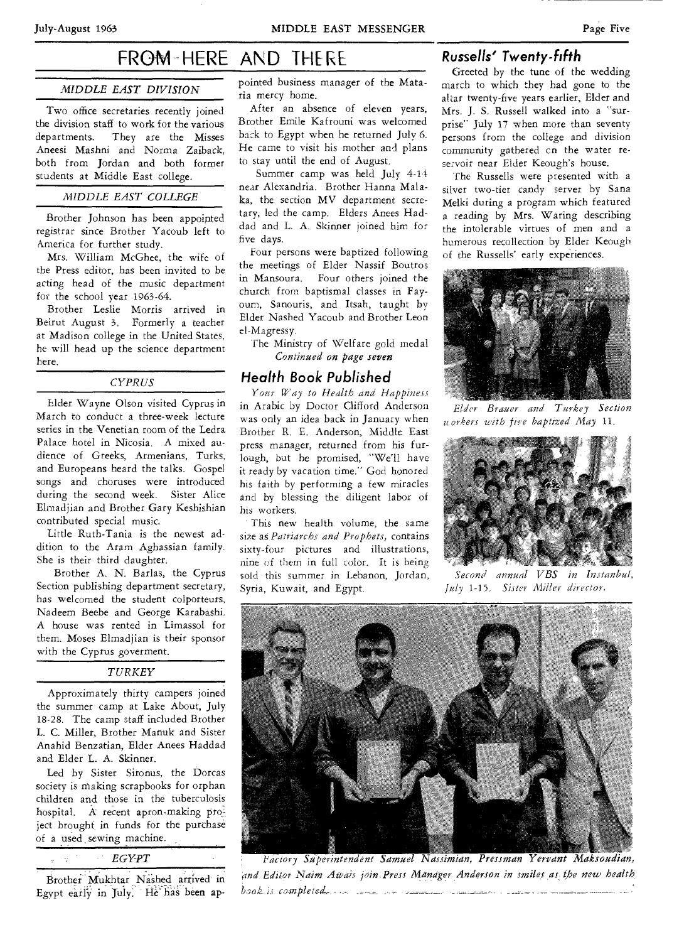# FROM HERE AND THERE

#### *MIDDLE EAST DIVISION*

Two office secretaries recently joined the division staff to work for the various departments. They are the Misses Aneesi Mashni and Norma Zaiback, both from Jordan and both former students at Middle East college.

#### *MIDDLE EAST COLLEGE*

Brother Johnson has been appointed registrar since Brother Yacoub left to America for further study.

Mrs. William McGhee, the wife of the Press editor, has been invited to be acting head of the music department for the school year 1963-64.

Brother Leslie Morris arrived in Beirut August 3. Formerly a teacher at Madison college in the United States, he will head up the science department here.

#### *CYPRUS*

Elder Wayne Olson visited Cyprus in March to conduct a three-week lecture series in the Venetian room of the Ledra Palace hotel in Nicosia. A mixed audience of Greeks, Armenians, Turks, and Europeans heard the talks. Gospel songs and choruses were introduced during the second week. Sister Alice Elmadjian and Brother Gary Keshishian contributed special music.

Little Ruth-Tania is the newest addition to the Aram Aghassian family. She is their third daughter.

Brother A. N. Barlas, the Cyprus Section publishing department secretary, has welcomed the student colporteurs, Nadeem Beebe and George Karabashi. A house was rented in Limassol for them. Moses Elmadjian is their sponsor with the Cyprus goverment.

#### *TURKEY*

Approximately thirty campers joined the summer camp at Lake About, July 18-28. The camp staff included Brother L. C. Miller, Brother Manuk and Sister Anahid Benzatian, Elder Anees Haddad and Elder L. A. Skinner.

Led by Sister Sironus, the Dorcas society is making scrapbooks for orphan children and those in the tuberculosis hospital. A recent apron-making project brought in funds for the purchase of a used sewing machine.

*EGYPT* 

Brother Mukhtar Nashed arrived in Egypt early in July. He has been appointed business manager of the Mataria mercy home.

After an absence of eleven years, Brother Emile Kafrouni was welcomed back to Egypt when he returned July 6. He came to visit his mother and plans to stay until the end of August.

Summer camp was held July 4-14 near Alexandria. Brother Hanna Malaka, the section MV department secretary, led the camp. Elders Anees Haddad and L. A. Skinner joined him for five days.

Four persons were baptized following the meetings of Elder Nassif Boutros in Mansoura. Four others joined the church from baptismal classes in Fayoum, Sanouris, and Itsah, taught by Elder Nashed Yacoub and Brother Leon el-Magressy.

The Ministry of Welfare gold medal *Continued on page seven* 

#### **Health Book Published**

*Your Way to Health and Happiness*  in Arabic by Doctor Clifford Anderson was only an idea back in January when Brother R. E. Anderson, Middle East press manager, returned from his furlough, but he promised, "We'll have it ready by vacation time." God honored his faith by performing a few miracles and by blessing the diligent labor of his workers.

This new health volume, the same size as *Patriarchs and Prophets,* contains sixty-four pictures and illustrations, nine of them in full color. It is being sold this summer in Lebanon, Jordan, Syria, Kuwait, and Egypt.

### **Russells' Twenty-fifth**

Greeted by the tune of the wedding march to which they had gone to the altar twenty-five years earlier, Elder and Mrs. J. S. Russell walked into a "surprise" July 17 when more than seventy persons from the college and division community gathered cn the water reservoir near Eider Keough's house.

The Russells were presented with a silver two-tier candy server by Sana Melki during a program which featured a reading by Mrs. Waring describing the intolerable virtues of men and a humerous recollection by Elder Keough of the Russells' early experiences.



*Elder Brauer and Turkey Section uorkers with five baptized May* 11.



*Second annual VBS in Instanbul, July 1-15. Sister Miller director.* 



*actory Superintendent Samuel Nassimian, Pressman Yervant Maksoudian, 'and Editor Naim Awais join,Press Manager Anderson in smiles as the new health completad....*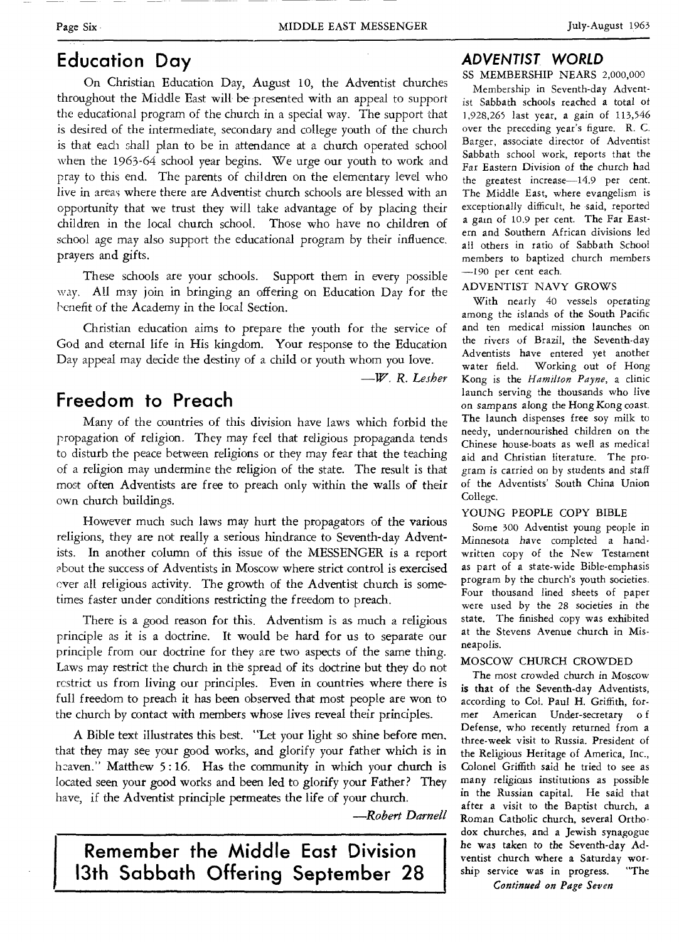# **Education Day**

On Christian Education Day, August 10, the Adventist churches throughout the Middle East will be presented with an appeal to support the educational program of the church in a special way. The support that is desired of the intermediate, secondary and college youth of the church is that each shall plan to be in attendance at a church operated school when the 1963-64 school year begins. We urge our youth to work and pray to this end. The parents of children on the elementary level who live in areas where there are Adventist church schools are blessed with an opportunity that we trust they will take advantage of by placing their children in the local church school. Those who have no children of school age may also support the educational program by their influence, prayers and gifts.

These schools are your schools. Support them in every possible way. All may join in bringing an offering on Education Day for the benefit of the Academy in the local Section.

Christian education aims to prepare the youth for the service of God and eternal life in His kingdom. Your response to the Education Day appeal may decide the destiny of a child or youth whom you love.

*—W. R. Lesher* 

# **Freedom to Preach**

Many of the countries of this division have laws which forbid the propagation of religion. They may feel that religious propaganda tends to disturb the peace between religions or they may fear that the teaching of a religion may undermine the religion of the state. The result is that most often Adventists are free to preach only within the walls of their own church buildings.

However much such laws may hurt the propagators of the various religions, they are not really a serious hindrance to Seventh-day Adventists. In another column of this issue of the MESSENGER is a report about the success of Adventists in Moscow where strict control is exercised ever all religious activity. The growth of the Adventist church is sometimes faster under conditions restricting the freedom to preach.

There is a good reason for this. Adventism is as much a religious principle as it is a doctrine. It would be hard for us to separate our principle from our doctrine for they are two aspects of the same thing. Laws may restrict the church in the spread of its doctrine but they do not restrict us from living our principles. Even in countries where there is full freedom to preach it has been observed that most people are won to the church by contact with members whose lives reveal their principles.

A Bible text illustrates this best. "Let your light so shine before men, that they may see your good works, and glorify your father which is in heaven." Matthew 5:16. Has the community in which your church is located seen your good works and been led to glorify your Father? They have, if the Adventist principle permeates the life of your church.

*—Robert Darnell* 

**Remember the Middle East Division 13th Sabbath Offering September 28** 

### *ADVENTIST WORLD*

SS MEMBERSHIP NEARS 2,000,000

Membership in Seventh-day Adventist Sabbath schools reached a total of 1,928,265 last year, a gain of 113,546 over the preceding year's figure. R. C. Barger, associate director of Adventist Sabbath school work, reports that the Far Eastern Division of the church had the greatest increase-14.9 per cent. The Middle East, where evangelism is exceptionally difficult, he said, reported a gain of 10.9 per cent. The Far Eastern and Southern African divisions led all others in ratio of Sabbath School members to baptized church members —190 per cent each.

#### ADVENTIST NAVY GROWS

With nearly 40 vessels operating among the islands of the South Pacific and ten medical mission launches on the rivers of Brazil, the Seventh-day Adventists have entered yet another water field. Working out of Hong Kong is the *Hamilton Payne,* a clinic launch serving the thousands who live on sampans along the Hong Kong coast. The launch dispenses free soy milk to needy, undernourished children on the Chinese house-boats as well as medical aid and Christian literature. The program is carried on by students and staff of the Adventists' South China Union College.

#### YOUNG PEOPLE COPY BIBLE

Some 300 Adventist young people in Minnesota have completed a handwritten copy of the New Testament as part of a state-wide Bible-emphasis program by the church's youth societies. Four thousand lined sheets of paper were used by the 28 societies in the state. The finished copy was exhibited at the Stevens Avenue church in Misneapolis.

#### MOSCOW CHURCH CROWDED

The *most* crowded *church* in Moscow is that of the Seventh-day Adventists, according to Col. Paul H. Griffith, former American Under-secretary o f Defense, who recently returned from a three-week visit to Russia. President of the Religious Heritage of America, Inc., Colonel Griffith said he tried to see as many religious institutions as possible in the Russian capital. He said that after a visit to the Baptist church, a Roman Catholic church, several Orthodox churches, and a Jewish synagogue he was taken to the Seventh-day Adventist church where a Saturday wor-<br>ship service was in progress. "The ship service was in progress. *Continued on Page Seven*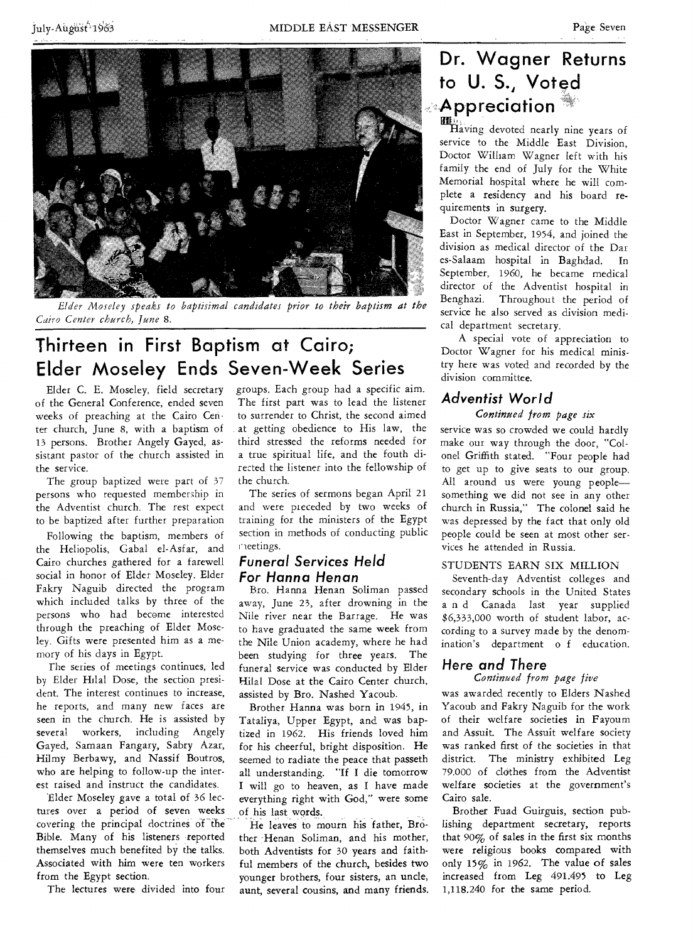

Elder Moseley speaks to baptisimal candidates prior to their baptism at the *Cairo Center church, June* 8.

# **Thirteen in First Baptism at Cairo; Elder Moseley Ends Seven-Week Series**

Elder C. E. Moseley, field secretary of the General Conference, ended seven weeks of preaching at the Cairo Center church, June 8, with a baptism of 13 persons. Brother Angely Gayed, assistant pastor of the church assisted in the service.

The group baptized were part of 37 persons who requested membership in the Adventist church. The rest expect to be baptized after further preparation

Following the baptism, members of the Heliopolis, Gabal el-Asfar, and Cairo churches gathered for a farewell social in honor of Elder Moseley. Elder Fakry Naguib directed the program which included talks by three of the persons who had become interested through the preaching of Elder Moseley. Gifts were presented him as a memory of his days in Egypt.

The series of meetings continues, led by Elder Hilal Dose, the section president. The interest continues to increase, he reports, and many new faces are seen in the church. He is assisted by several workers, including Angely Gayed, Samaan Fangary, Sabry Azar, Hilmy Berbawy, and Nassif Boutros, who are helping to follow-up the interest raised and instruct the candidates.

'Elder Moseley gave a total of 36 lectures over a period of seven weeks covering the principal doctrines of the Bible. Many of his listeners reported themselves much benefited by the talks. Associated with him were ten workers from the Egypt section.

The lectures were divided into four

groups. Each group had a specific aim. The first part was to lead the listener to surrender to Christ, the second aimed at getting obedience to His law, the third stressed the reforms needed for a true spiritual life, and the fouth directed the listener into the fellowship of the church.

The series of sermons began April 21 and were preceded by two weeks of training for the ministers of the Egypt section in methods of conducting public neetings.

### *Funeral Services Held For Hanna Henan*

Bro. Hanna Henan Soliman passed away, June 23, after drowning in the Nile river near the Barrage. He was to have graduated the same week from the Nile Union academy, where he had been studying for three years. The funeral service was conducted by Elder Hilal Dose at the Cairo Center church, assisted by Bro. Nashed Yacoub.

Brother Hanna was born in 1945, in Tataliya, Upper Egypt, and was baptized in 1962. His friends loved him for his cheerful, bright disposition. He seemed to radiate the peace that passeth all understanding. "If I die tomorrow I will go to heaven, as I have made everything right with God," were some of his last words.

He leaves to mourn his father, Brother Henan Soliman, and his mother, both Adventists for 30 years and faithful members of the church, besides two younger brothers, four sisters, an uncle, aunt, several cousins, and many friends.

# **Dr. Wagner Returns to U. S., Voted Appreciation**

Kt,\_ Having devoted nearly nine years of service to the Middle East Division, Doctor William Wagner left with his family the end of July for the White Memorial hospital where he will complete a residency and his board requirements in surgery.

Doctor Wagner came to the Middle East in September, 1954, and joined the division as medical director of the Dar es-Salaam hospital in Baghdad. In September, 1960, he became medical director of the Adventist hospital in Benghazi. Throughout the period of service he also served as division medical department secretary.

A special vote of appreciation to Doctor Wagner for his medical ministry here was voted and recorded by the division committee.

# *Adventist World*

*Continued from page six*  service was so crowded we could hardly make our way through the door, "Colonel Griffith stated. "Four people had to get up to give seats to our group. All around us were young people something we did not see in any other church in Russia," The colonel said he was depressed by the fact that only old people could be seen at most other ser-

### STUDENTS EARN SIX MILLION

vices he attended in Russia.

Seventh-day Adventist colleges and secondary schools in the United States a n d Canada last year supplied \$6,333,000 worth of student labor, according to a survey made by the denomination's department o f education.

# Here *and* There

### *Continued from page five*

was awarded recently to Elders Nashed Yacoub and Fakry Naguib for the work of their welfare societies in Fayoum and Assuit. The Assuit welfare society was ranked first of the societies in that district. The ministry exhibited Leg 79.000 of clothes from the Adventist welfare societies at the government's Cairo sale.

Brother Fuad Guirguis, section publishing department secretary, reports that 90% of sales in the first six months were religious books compared with only 15% in 1962. The value of sales increased from Leg 491.495 to Leg 1,118.240 for the same period.